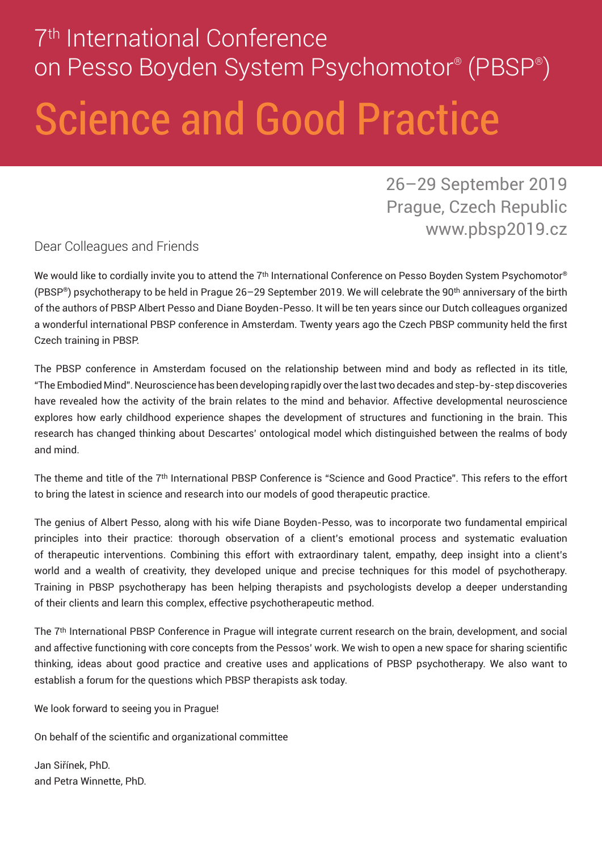# 7<sup>th</sup> International Conference on Pesso Boyden System Psychomotor® (PBSP® ) Science and Good Practice

26–29 September 2019 Prague, Czech Republic www.pbsp2019.cz

Dear Colleagues and Friends

We would like to cordially invite you to attend the 7<sup>th</sup> International Conference on Pesso Boyden System Psychomotor® (PBSP®) psychotherapy to be held in Prague 26–29 September 2019. We will celebrate the 90th anniversary of the birth of the authors of PBSP Albert Pesso and Diane Boyden-Pesso. It will be ten years since our Dutch colleagues organized a wonderful international PBSP conference in Amsterdam. Twenty years ago the Czech PBSP community held the first Czech training in PBSP.

The PBSP conference in Amsterdam focused on the relationship between mind and body as reflected in its title, "The Embodied Mind". Neuroscience has been developing rapidly over the last two decades and step-by-step discoveries have revealed how the activity of the brain relates to the mind and behavior. Affective developmental neuroscience explores how early childhood experience shapes the development of structures and functioning in the brain. This research has changed thinking about Descartes' ontological model which distinguished between the realms of body and mind.

The theme and title of the 7th International PBSP Conference is "Science and Good Practice". This refers to the effort to bring the latest in science and research into our models of good therapeutic practice.

The genius of Albert Pesso, along with his wife Diane Boyden-Pesso, was to incorporate two fundamental empirical principles into their practice: thorough observation of a client's emotional process and systematic evaluation of therapeutic interventions. Combining this effort with extraordinary talent, empathy, deep insight into a client's world and a wealth of creativity, they developed unique and precise techniques for this model of psychotherapy. Training in PBSP psychotherapy has been helping therapists and psychologists develop a deeper understanding of their clients and learn this complex, effective psychotherapeutic method.

The 7th International PBSP Conference in Prague will integrate current research on the brain, development, and social and affective functioning with core concepts from the Pessos' work. We wish to open a new space for sharing scientific thinking, ideas about good practice and creative uses and applications of PBSP psychotherapy. We also want to establish a forum for the questions which PBSP therapists ask today.

We look forward to seeing you in Prague!

On behalf of the scientific and organizational committee

Jan Siřínek, PhD. and Petra Winnette, PhD.